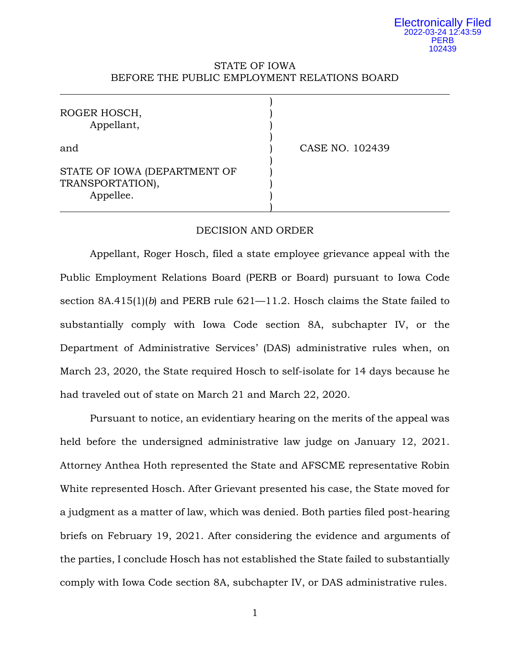# STATE OF IOWA BEFORE THE PUBLIC EMPLOYMENT RELATIONS BOARD

| ROGER HOSCH,<br>Appellant,                                    |                 |
|---------------------------------------------------------------|-----------------|
| and                                                           | CASE NO. 102439 |
| STATE OF IOWA (DEPARTMENT OF<br>TRANSPORTATION),<br>Appellee. |                 |

## DECISION AND ORDER

Appellant, Roger Hosch, filed a state employee grievance appeal with the Public Employment Relations Board (PERB or Board) pursuant to Iowa Code section 8A.415(1)(*b*) and PERB rule 621—11.2. Hosch claims the State failed to substantially comply with Iowa Code section 8A, subchapter IV, or the Department of Administrative Services' (DAS) administrative rules when, on March 23, 2020, the State required Hosch to self-isolate for 14 days because he had traveled out of state on March 21 and March 22, 2020.

Pursuant to notice, an evidentiary hearing on the merits of the appeal was held before the undersigned administrative law judge on January 12, 2021. Attorney Anthea Hoth represented the State and AFSCME representative Robin White represented Hosch. After Grievant presented his case, the State moved for a judgment as a matter of law, which was denied. Both parties filed post-hearing briefs on February 19, 2021. After considering the evidence and arguments of the parties, I conclude Hosch has not established the State failed to substantially comply with Iowa Code section 8A, subchapter IV, or DAS administrative rules.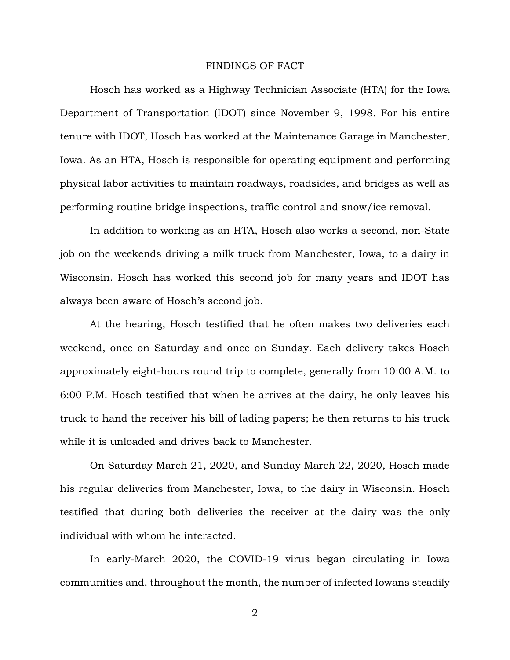#### FINDINGS OF FACT

Hosch has worked as a Highway Technician Associate (HTA) for the Iowa Department of Transportation (IDOT) since November 9, 1998. For his entire tenure with IDOT, Hosch has worked at the Maintenance Garage in Manchester, Iowa. As an HTA, Hosch is responsible for operating equipment and performing physical labor activities to maintain roadways, roadsides, and bridges as well as performing routine bridge inspections, traffic control and snow/ice removal.

In addition to working as an HTA, Hosch also works a second, non-State job on the weekends driving a milk truck from Manchester, Iowa, to a dairy in Wisconsin. Hosch has worked this second job for many years and IDOT has always been aware of Hosch's second job.

At the hearing, Hosch testified that he often makes two deliveries each weekend, once on Saturday and once on Sunday. Each delivery takes Hosch approximately eight-hours round trip to complete, generally from 10:00 A.M. to 6:00 P.M. Hosch testified that when he arrives at the dairy, he only leaves his truck to hand the receiver his bill of lading papers; he then returns to his truck while it is unloaded and drives back to Manchester.

On Saturday March 21, 2020, and Sunday March 22, 2020, Hosch made his regular deliveries from Manchester, Iowa, to the dairy in Wisconsin. Hosch testified that during both deliveries the receiver at the dairy was the only individual with whom he interacted.

In early-March 2020, the COVID-19 virus began circulating in Iowa communities and, throughout the month, the number of infected Iowans steadily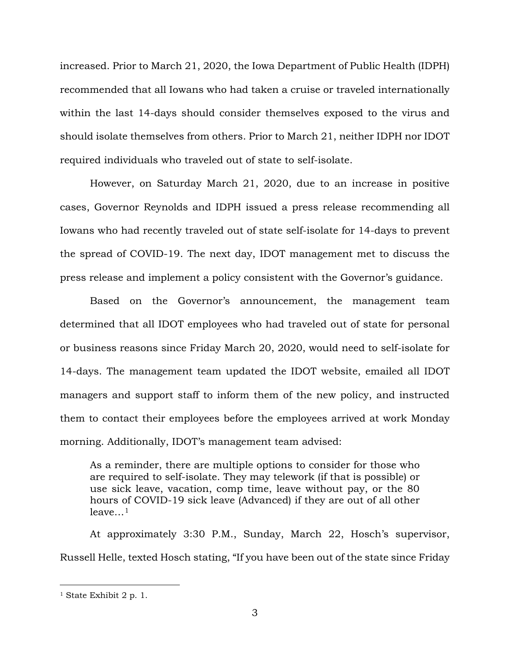increased. Prior to March 21, 2020, the Iowa Department of Public Health (IDPH) recommended that all Iowans who had taken a cruise or traveled internationally within the last 14-days should consider themselves exposed to the virus and should isolate themselves from others. Prior to March 21, neither IDPH nor IDOT required individuals who traveled out of state to self-isolate.

However, on Saturday March 21, 2020, due to an increase in positive cases, Governor Reynolds and IDPH issued a press release recommending all Iowans who had recently traveled out of state self-isolate for 14-days to prevent the spread of COVID-19. The next day, IDOT management met to discuss the press release and implement a policy consistent with the Governor's guidance.

Based on the Governor's announcement, the management team determined that all IDOT employees who had traveled out of state for personal or business reasons since Friday March 20, 2020, would need to self-isolate for 14-days. The management team updated the IDOT website, emailed all IDOT managers and support staff to inform them of the new policy, and instructed them to contact their employees before the employees arrived at work Monday morning. Additionally, IDOT's management team advised:

As a reminder, there are multiple options to consider for those who are required to self-isolate. They may telework (if that is possible) or use sick leave, vacation, comp time, leave without pay, or the 80 hours of COVID-19 sick leave (Advanced) if they are out of all other  $leave...<sup>1</sup>$  $leave...<sup>1</sup>$  $leave...<sup>1</sup>$ 

At approximately 3:30 P.M., Sunday, March 22, Hosch's supervisor, Russell Helle, texted Hosch stating, "If you have been out of the state since Friday

<span id="page-2-0"></span>ī <sup>1</sup> State Exhibit 2 p. 1.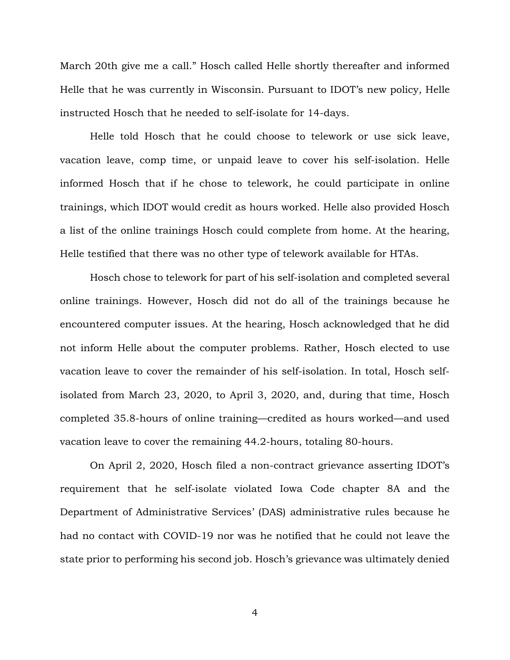March 20th give me a call." Hosch called Helle shortly thereafter and informed Helle that he was currently in Wisconsin. Pursuant to IDOT's new policy, Helle instructed Hosch that he needed to self-isolate for 14-days.

Helle told Hosch that he could choose to telework or use sick leave, vacation leave, comp time, or unpaid leave to cover his self-isolation. Helle informed Hosch that if he chose to telework, he could participate in online trainings, which IDOT would credit as hours worked. Helle also provided Hosch a list of the online trainings Hosch could complete from home. At the hearing, Helle testified that there was no other type of telework available for HTAs.

Hosch chose to telework for part of his self-isolation and completed several online trainings. However, Hosch did not do all of the trainings because he encountered computer issues. At the hearing, Hosch acknowledged that he did not inform Helle about the computer problems. Rather, Hosch elected to use vacation leave to cover the remainder of his self-isolation. In total, Hosch selfisolated from March 23, 2020, to April 3, 2020, and, during that time, Hosch completed 35.8-hours of online training—credited as hours worked—and used vacation leave to cover the remaining 44.2-hours, totaling 80-hours.

On April 2, 2020, Hosch filed a non-contract grievance asserting IDOT's requirement that he self-isolate violated Iowa Code chapter 8A and the Department of Administrative Services' (DAS) administrative rules because he had no contact with COVID-19 nor was he notified that he could not leave the state prior to performing his second job. Hosch's grievance was ultimately denied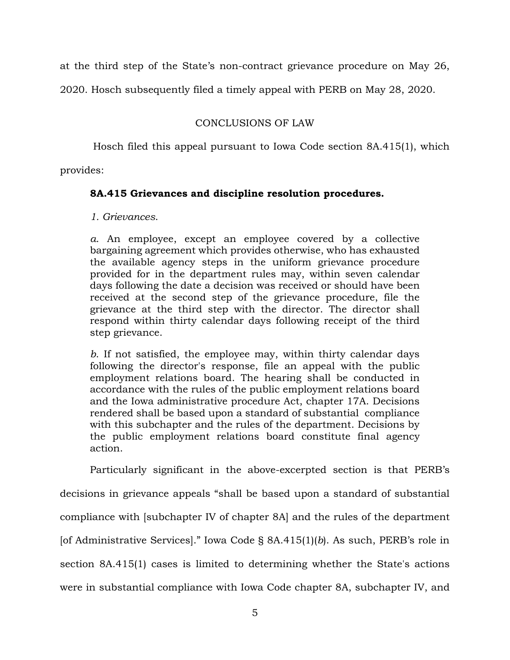at the third step of the State's non-contract grievance procedure on May 26,

2020. Hosch subsequently filed a timely appeal with PERB on May 28, 2020.

# CONCLUSIONS OF LAW

Hosch filed this appeal pursuant to Iowa Code section 8A.415(1), which

provides:

# **8A.415 Grievances and discipline resolution procedures.**

*1. Grievances*.

*a*. An employee, except an employee covered by a collective bargaining agreement which provides otherwise, who has exhausted the available agency steps in the uniform grievance procedure provided for in the department rules may, within seven calendar days following the date a decision was received or should have been received at the second step of the grievance procedure, file the grievance at the third step with the director. The director shall respond within thirty calendar days following receipt of the third step grievance.

*b*. If not satisfied, the employee may, within thirty calendar days following the director's response, file an appeal with the public employment relations board. The hearing shall be conducted in accordance with the rules of the public employment relations board and the Iowa administrative procedure Act, chapter 17A. Decisions rendered shall be based upon a standard of substantial compliance with this subchapter and the rules of the department. Decisions by the public employment relations board constitute final agency action.

Particularly significant in the above-excerpted section is that PERB's

decisions in grievance appeals "shall be based upon a standard of substantial compliance with [subchapter IV of chapter 8A] and the rules of the department [of Administrative Services]." Iowa Code § 8A.415(1)(*b*). As such, PERB's role in section 8A.415(1) cases is limited to determining whether the State's actions were in substantial compliance with Iowa Code chapter 8A, subchapter IV, and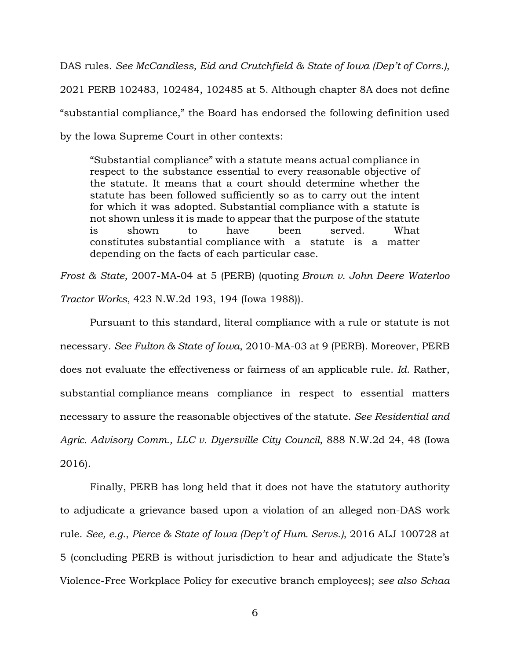DAS rules. *See McCandless, Eid and Crutchfield & State of Iowa (Dep't of Corrs.)*, 2021 PERB 102483, 102484, 102485 at 5. Although chapter 8A does not define "substantial compliance," the Board has endorsed the following definition used by the Iowa Supreme Court in other contexts:

"Substantial compliance" with a statute means actual compliance in respect to the substance essential to every reasonable objective of the statute. It means that a court should determine whether the statute has been followed sufficiently so as to carry out the intent for which it was adopted. Substantial compliance with a statute is not shown unless it is made to appear that the purpose of the statute is shown to have been served. What constitutes substantial compliance with a statute is a matter depending on the facts of each particular case.

*Frost & State*, 2007-MA-04 at 5 (PERB) (quoting *Brown v. John Deere Waterloo Tractor Works*, 423 N.W.2d 193, 194 (Iowa 1988)).

Pursuant to this standard, literal compliance with a rule or statute is not necessary. *See Fulton & State of Iowa*, 2010-MA-03 at 9 (PERB). Moreover, PERB does not evaluate the effectiveness or fairness of an applicable rule. *Id*. Rather, substantial compliance means compliance in respect to essential matters necessary to assure the reasonable objectives of the statute. *See Residential and Agric. Advisory Comm., LLC v. Dyersville City Council*, 888 N.W.2d 24, 48 (Iowa 2016).

Finally, PERB has long held that it does not have the statutory authority to adjudicate a grievance based upon a violation of an alleged non-DAS work rule. *See, e.g.*, *Pierce & State of Iowa (Dep't of Hum. Servs.)*, 2016 ALJ 100728 at 5 (concluding PERB is without jurisdiction to hear and adjudicate the State's Violence-Free Workplace Policy for executive branch employees); *see also Schaa*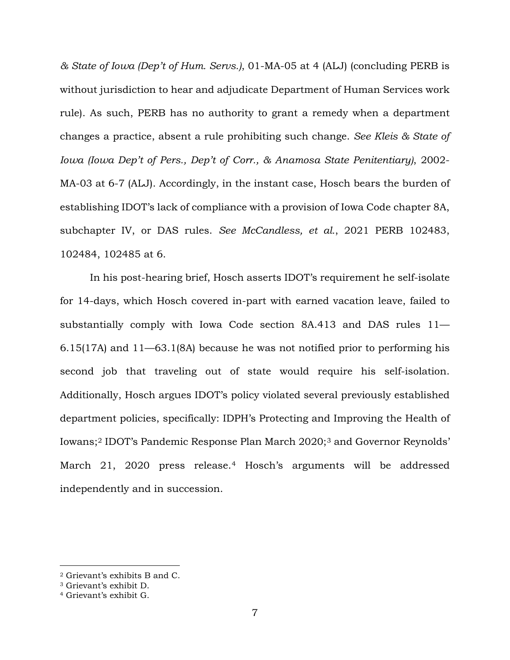*& State of Iowa (Dep't of Hum. Servs.)*, 01-MA-05 at 4 (ALJ) (concluding PERB is without jurisdiction to hear and adjudicate Department of Human Services work rule). As such, PERB has no authority to grant a remedy when a department changes a practice, absent a rule prohibiting such change. *See Kleis & State of Iowa (Iowa Dep't of Pers., Dep't of Corr., & Anamosa State Penitentiary)*, 2002- MA-03 at 6-7 (ALJ). Accordingly, in the instant case, Hosch bears the burden of establishing IDOT's lack of compliance with a provision of Iowa Code chapter 8A, subchapter IV, or DAS rules. *See McCandless, et al.*, 2021 PERB 102483, 102484, 102485 at 6.

In his post-hearing brief, Hosch asserts IDOT's requirement he self-isolate for 14-days, which Hosch covered in-part with earned vacation leave, failed to substantially comply with Iowa Code section 8A.413 and DAS rules 11— 6.15(17A) and 11—63.1(8A) because he was not notified prior to performing his second job that traveling out of state would require his self-isolation. Additionally, Hosch argues IDOT's policy violated several previously established department policies, specifically: IDPH's Protecting and Improving the Health of Iowans;[2](#page-6-0) IDOT's Pandemic Response Plan March 2020;[3](#page-6-1) and Governor Reynolds' March 21, 2020 press release.<sup>[4](#page-6-2)</sup> Hosch's arguments will be addressed independently and in succession.

ī

<span id="page-6-0"></span><sup>2</sup> Grievant's exhibits B and C.

<span id="page-6-1"></span><sup>3</sup> Grievant's exhibit D.

<span id="page-6-2"></span><sup>4</sup> Grievant's exhibit G.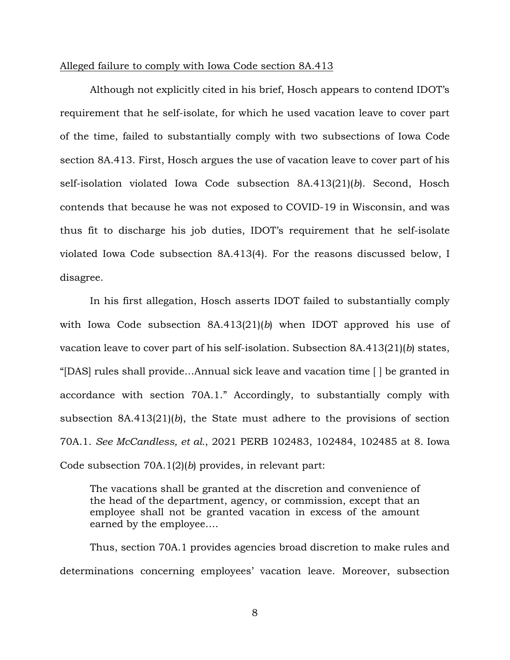#### Alleged failure to comply with Iowa Code section 8A.413

Although not explicitly cited in his brief, Hosch appears to contend IDOT's requirement that he self-isolate, for which he used vacation leave to cover part of the time, failed to substantially comply with two subsections of Iowa Code section 8A.413. First, Hosch argues the use of vacation leave to cover part of his self-isolation violated Iowa Code subsection 8A.413(21)(*b*). Second, Hosch contends that because he was not exposed to COVID-19 in Wisconsin, and was thus fit to discharge his job duties, IDOT's requirement that he self-isolate violated Iowa Code subsection 8A.413(4). For the reasons discussed below, I disagree.

In his first allegation, Hosch asserts IDOT failed to substantially comply with Iowa Code subsection 8A.413(21)(*b*) when IDOT approved his use of vacation leave to cover part of his self-isolation. Subsection 8A.413(21)(*b*) states, "[DAS] rules shall provide…Annual sick leave and vacation time [ ] be granted in accordance with section 70A.1." Accordingly, to substantially comply with subsection 8A.413(21)(*b*), the State must adhere to the provisions of section 70A.1. *See McCandless, et al.*, 2021 PERB 102483, 102484, 102485 at 8. Iowa Code subsection 70A.1(2)(*b*) provides, in relevant part:

The vacations shall be granted at the discretion and convenience of the head of the department, agency, or commission, except that an employee shall not be granted vacation in excess of the amount earned by the employee….

Thus, section 70A.1 provides agencies broad discretion to make rules and determinations concerning employees' vacation leave. Moreover, subsection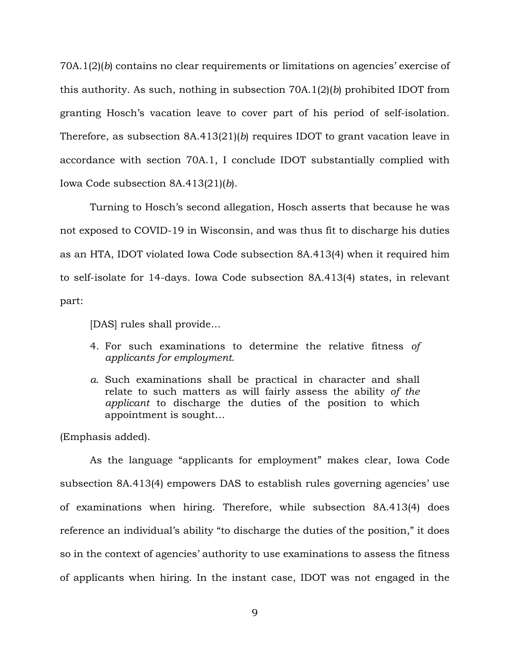70A.1(2)(*b*) contains no clear requirements or limitations on agencies' exercise of this authority. As such, nothing in subsection 70A.1(2)(*b*) prohibited IDOT from granting Hosch's vacation leave to cover part of his period of self-isolation. Therefore, as subsection 8A.413(21)(*b*) requires IDOT to grant vacation leave in accordance with section 70A.1, I conclude IDOT substantially complied with Iowa Code subsection 8A.413(21)(*b*).

Turning to Hosch's second allegation, Hosch asserts that because he was not exposed to COVID-19 in Wisconsin, and was thus fit to discharge his duties as an HTA, IDOT violated Iowa Code subsection 8A.413(4) when it required him to self-isolate for 14-days. Iowa Code subsection 8A.413(4) states, in relevant part:

[DAS] rules shall provide…

- 4. For such examinations to determine the relative fitness *of applicants for employment*.
- *a.* Such examinations shall be practical in character and shall relate to such matters as will fairly assess the ability *of the applicant* to discharge the duties of the position to which appointment is sought…

(Emphasis added).

As the language "applicants for employment" makes clear, Iowa Code subsection 8A.413(4) empowers DAS to establish rules governing agencies' use of examinations when hiring. Therefore, while subsection 8A.413(4) does reference an individual's ability "to discharge the duties of the position," it does so in the context of agencies' authority to use examinations to assess the fitness of applicants when hiring. In the instant case, IDOT was not engaged in the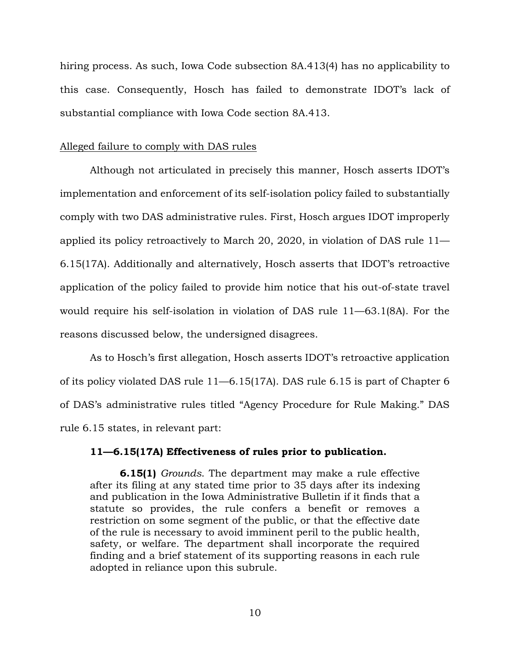hiring process. As such, Iowa Code subsection 8A.413(4) has no applicability to this case. Consequently, Hosch has failed to demonstrate IDOT's lack of substantial compliance with Iowa Code section 8A.413.

# Alleged failure to comply with DAS rules

Although not articulated in precisely this manner, Hosch asserts IDOT's implementation and enforcement of its self-isolation policy failed to substantially comply with two DAS administrative rules. First, Hosch argues IDOT improperly applied its policy retroactively to March 20, 2020, in violation of DAS rule 11— 6.15(17A). Additionally and alternatively, Hosch asserts that IDOT's retroactive application of the policy failed to provide him notice that his out-of-state travel would require his self-isolation in violation of DAS rule 11—63.1(8A). For the reasons discussed below, the undersigned disagrees.

As to Hosch's first allegation, Hosch asserts IDOT's retroactive application of its policy violated DAS rule 11—6.15(17A). DAS rule 6.15 is part of Chapter 6 of DAS's administrative rules titled "Agency Procedure for Rule Making." DAS rule 6.15 states, in relevant part:

## **11—6.15(17A) Effectiveness of rules prior to publication.**

**6.15(1)** *Grounds*. The department may make a rule effective after its filing at any stated time prior to 35 days after its indexing and publication in the Iowa Administrative Bulletin if it finds that a statute so provides, the rule confers a benefit or removes a restriction on some segment of the public, or that the effective date of the rule is necessary to avoid imminent peril to the public health, safety, or welfare. The department shall incorporate the required finding and a brief statement of its supporting reasons in each rule adopted in reliance upon this subrule.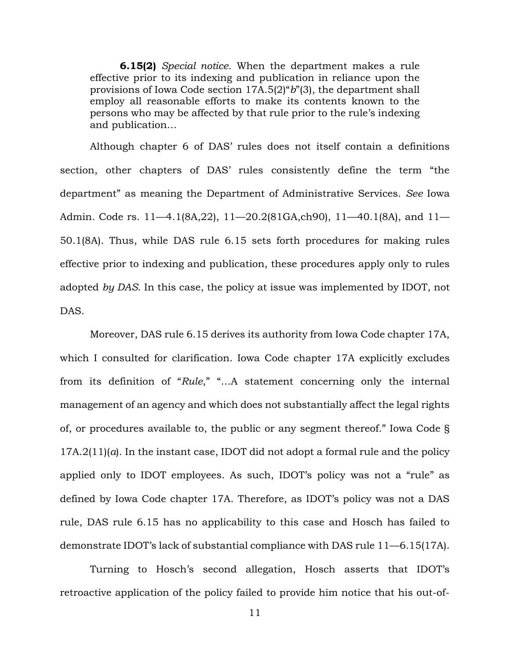**6.15(2)** *Special notice*. When the department makes a rule effective prior to its indexing and publication in reliance upon the provisions of Iowa Code section 17A.5(2)"*b*"(3), the department shall employ all reasonable efforts to make its contents known to the persons who may be affected by that rule prior to the rule's indexing and publication…

Although chapter 6 of DAS' rules does not itself contain a definitions section, other chapters of DAS' rules consistently define the term "the department" as meaning the Department of Administrative Services. *See* Iowa Admin. Code rs. 11—4.1(8A,22), 11—20.2(81GA,ch90), 11—40.1(8A), and 11— 50.1(8A). Thus, while DAS rule 6.15 sets forth procedures for making rules effective prior to indexing and publication, these procedures apply only to rules adopted *by DAS*. In this case, the policy at issue was implemented by IDOT, not DAS.

Moreover, DAS rule 6.15 derives its authority from Iowa Code chapter 17A, which I consulted for clarification. Iowa Code chapter 17A explicitly excludes from its definition of "*Rule*," "…A statement concerning only the internal management of an agency and which does not substantially affect the legal rights of, or procedures available to, the public or any segment thereof." Iowa Code § 17A.2(11)(*a*). In the instant case, IDOT did not adopt a formal rule and the policy applied only to IDOT employees. As such, IDOT's policy was not a "rule" as defined by Iowa Code chapter 17A. Therefore, as IDOT's policy was not a DAS rule, DAS rule 6.15 has no applicability to this case and Hosch has failed to demonstrate IDOT's lack of substantial compliance with DAS rule 11—6.15(17A).

Turning to Hosch's second allegation, Hosch asserts that IDOT's retroactive application of the policy failed to provide him notice that his out-of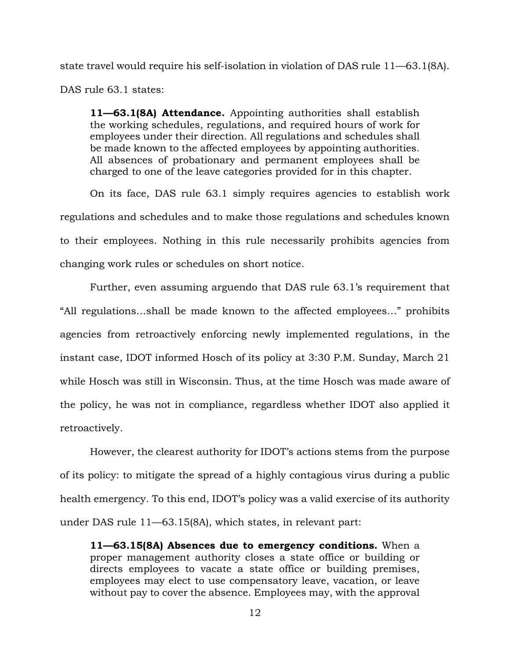state travel would require his self-isolation in violation of DAS rule 11—63.1(8A). DAS rule 63.1 states:

**11—63.1(8A) Attendance.** Appointing authorities shall establish the working schedules, regulations, and required hours of work for employees under their direction. All regulations and schedules shall be made known to the affected employees by appointing authorities. All absences of probationary and permanent employees shall be charged to one of the leave categories provided for in this chapter.

On its face, DAS rule 63.1 simply requires agencies to establish work regulations and schedules and to make those regulations and schedules known to their employees. Nothing in this rule necessarily prohibits agencies from changing work rules or schedules on short notice.

Further, even assuming arguendo that DAS rule 63.1's requirement that "All regulations…shall be made known to the affected employees…" prohibits agencies from retroactively enforcing newly implemented regulations, in the instant case, IDOT informed Hosch of its policy at 3:30 P.M. Sunday, March 21 while Hosch was still in Wisconsin. Thus, at the time Hosch was made aware of the policy, he was not in compliance, regardless whether IDOT also applied it retroactively.

However, the clearest authority for IDOT's actions stems from the purpose of its policy: to mitigate the spread of a highly contagious virus during a public health emergency. To this end, IDOT's policy was a valid exercise of its authority under DAS rule 11—63.15(8A), which states, in relevant part:

**11—63.15(8A) Absences due to emergency conditions.** When a proper management authority closes a state office or building or directs employees to vacate a state office or building premises, employees may elect to use compensatory leave, vacation, or leave without pay to cover the absence. Employees may, with the approval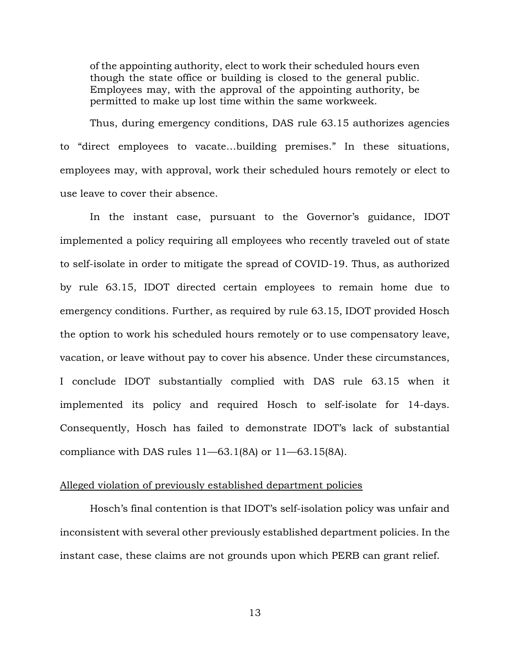of the appointing authority, elect to work their scheduled hours even though the state office or building is closed to the general public. Employees may, with the approval of the appointing authority, be permitted to make up lost time within the same workweek.

Thus, during emergency conditions, DAS rule 63.15 authorizes agencies to "direct employees to vacate…building premises." In these situations, employees may, with approval, work their scheduled hours remotely or elect to use leave to cover their absence.

In the instant case, pursuant to the Governor's guidance, IDOT implemented a policy requiring all employees who recently traveled out of state to self-isolate in order to mitigate the spread of COVID-19. Thus, as authorized by rule 63.15, IDOT directed certain employees to remain home due to emergency conditions. Further, as required by rule 63.15, IDOT provided Hosch the option to work his scheduled hours remotely or to use compensatory leave, vacation, or leave without pay to cover his absence. Under these circumstances, I conclude IDOT substantially complied with DAS rule 63.15 when it implemented its policy and required Hosch to self-isolate for 14-days. Consequently, Hosch has failed to demonstrate IDOT's lack of substantial compliance with DAS rules  $11-63.1(8A)$  or  $11-63.15(8A)$ .

## Alleged violation of previously established department policies

Hosch's final contention is that IDOT's self-isolation policy was unfair and inconsistent with several other previously established department policies. In the instant case, these claims are not grounds upon which PERB can grant relief.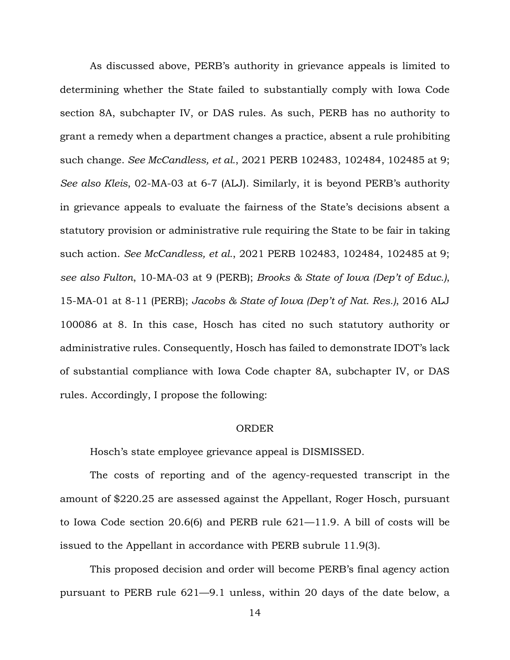As discussed above, PERB's authority in grievance appeals is limited to determining whether the State failed to substantially comply with Iowa Code section 8A, subchapter IV, or DAS rules. As such, PERB has no authority to grant a remedy when a department changes a practice, absent a rule prohibiting such change. *See McCandless, et al.*, 2021 PERB 102483, 102484, 102485 at 9; *See also Kleis*, 02-MA-03 at 6-7 (ALJ). Similarly, it is beyond PERB's authority in grievance appeals to evaluate the fairness of the State's decisions absent a statutory provision or administrative rule requiring the State to be fair in taking such action. *See McCandless, et al.*, 2021 PERB 102483, 102484, 102485 at 9; *see also Fulton*, 10-MA-03 at 9 (PERB); *Brooks & State of Iowa (Dep't of Educ.)*, 15-MA-01 at 8-11 (PERB); *Jacobs & State of Iowa (Dep't of Nat. Res.)*, 2016 ALJ 100086 at 8. In this case, Hosch has cited no such statutory authority or administrative rules. Consequently, Hosch has failed to demonstrate IDOT's lack of substantial compliance with Iowa Code chapter 8A, subchapter IV, or DAS rules. Accordingly, I propose the following:

#### ORDER

Hosch's state employee grievance appeal is DISMISSED.

The costs of reporting and of the agency-requested transcript in the amount of \$220.25 are assessed against the Appellant, Roger Hosch, pursuant to Iowa Code section 20.6(6) and PERB rule 621—11.9. A bill of costs will be issued to the Appellant in accordance with PERB subrule 11.9(3).

This proposed decision and order will become PERB's final agency action pursuant to PERB rule 621—9.1 unless, within 20 days of the date below, a